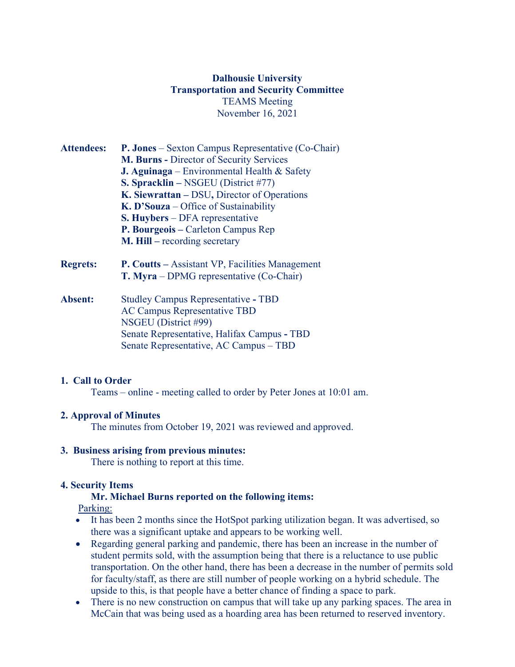## **Dalhousie University Transportation and Security Committee** TEAMS Meeting November 16, 2021

- **Attendees: P. Jones** Sexton Campus Representative (Co-Chair) **M. Burns -** Director of Security Services **J. Aguinaga** – Environmental Health & Safety **S. Spracklin –** NSGEU (District #77) **K. Siewrattan –** DSU**,** Director of Operations **K. D'Souza** – Office of Sustainability **S. Huybers** – DFA representative **P. Bourgeois –** Carleton Campus Rep **M. Hill –** recording secretary **Regrets: P. Coutts –** Assistant VP, Facilities Management **T. Myra** – DPMG representative (Co-Chair)
- **Absent:** Studley Campus Representative **-** TBD AC Campus Representative TBD NSGEU (District #99) Senate Representative, Halifax Campus **-** TBD Senate Representative, AC Campus – TBD

### **1. Call to Order**

Teams – online - meeting called to order by Peter Jones at 10:01 am.

### **2. Approval of Minutes**

The minutes from October 19, 2021 was reviewed and approved.

### **3. Business arising from previous minutes:**

There is nothing to report at this time.

### **4. Security Items**

## **Mr. Michael Burns reported on the following items:**

Parking:

- It has been 2 months since the HotSpot parking utilization began. It was advertised, so there was a significant uptake and appears to be working well.
- Regarding general parking and pandemic, there has been an increase in the number of student permits sold, with the assumption being that there is a reluctance to use public transportation. On the other hand, there has been a decrease in the number of permits sold for faculty/staff, as there are still number of people working on a hybrid schedule. The upside to this, is that people have a better chance of finding a space to park.
- There is no new construction on campus that will take up any parking spaces. The area in McCain that was being used as a hoarding area has been returned to reserved inventory.